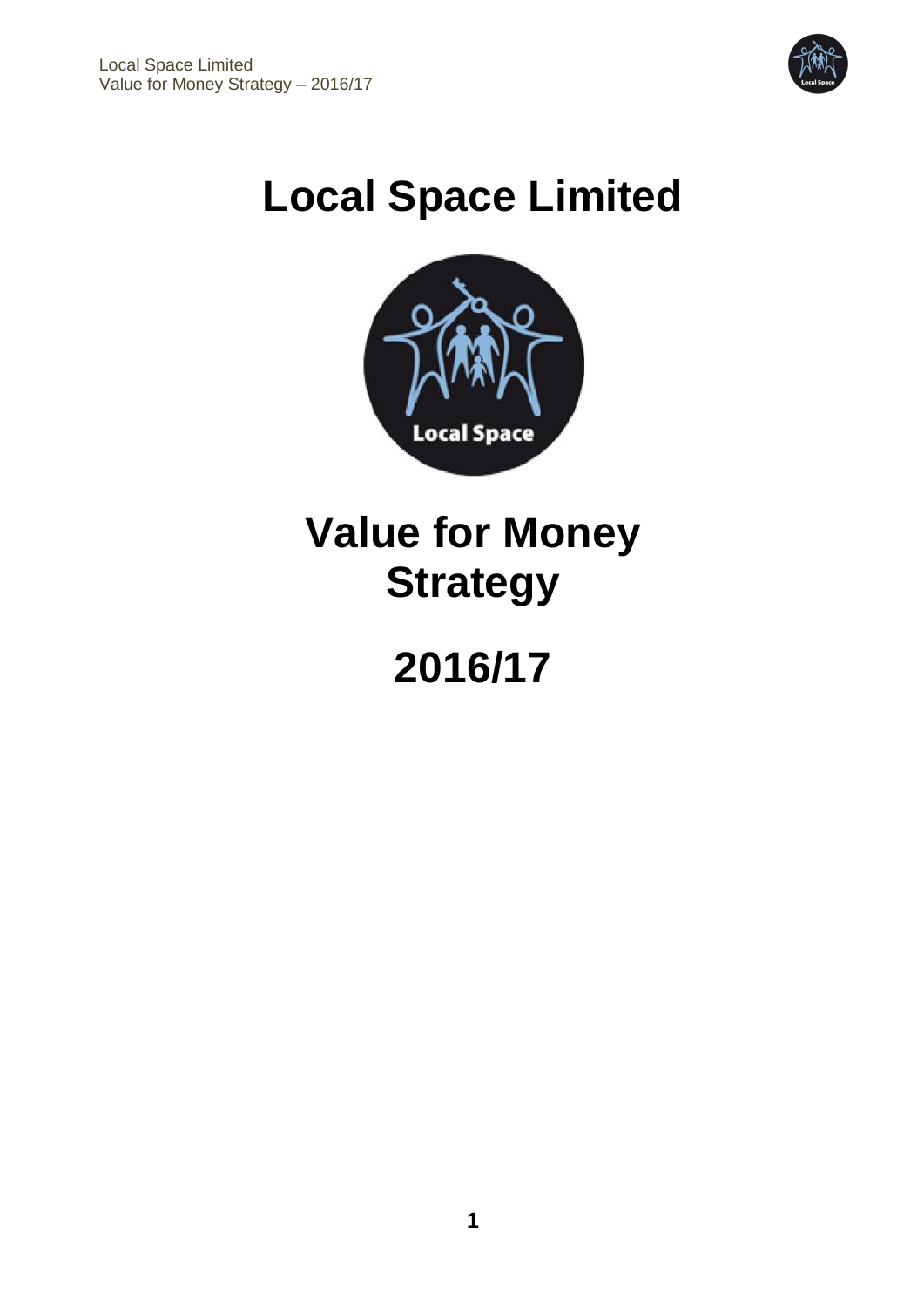

# **Local Space Limited**



# **Value for Money Strategy**

# **2016/17**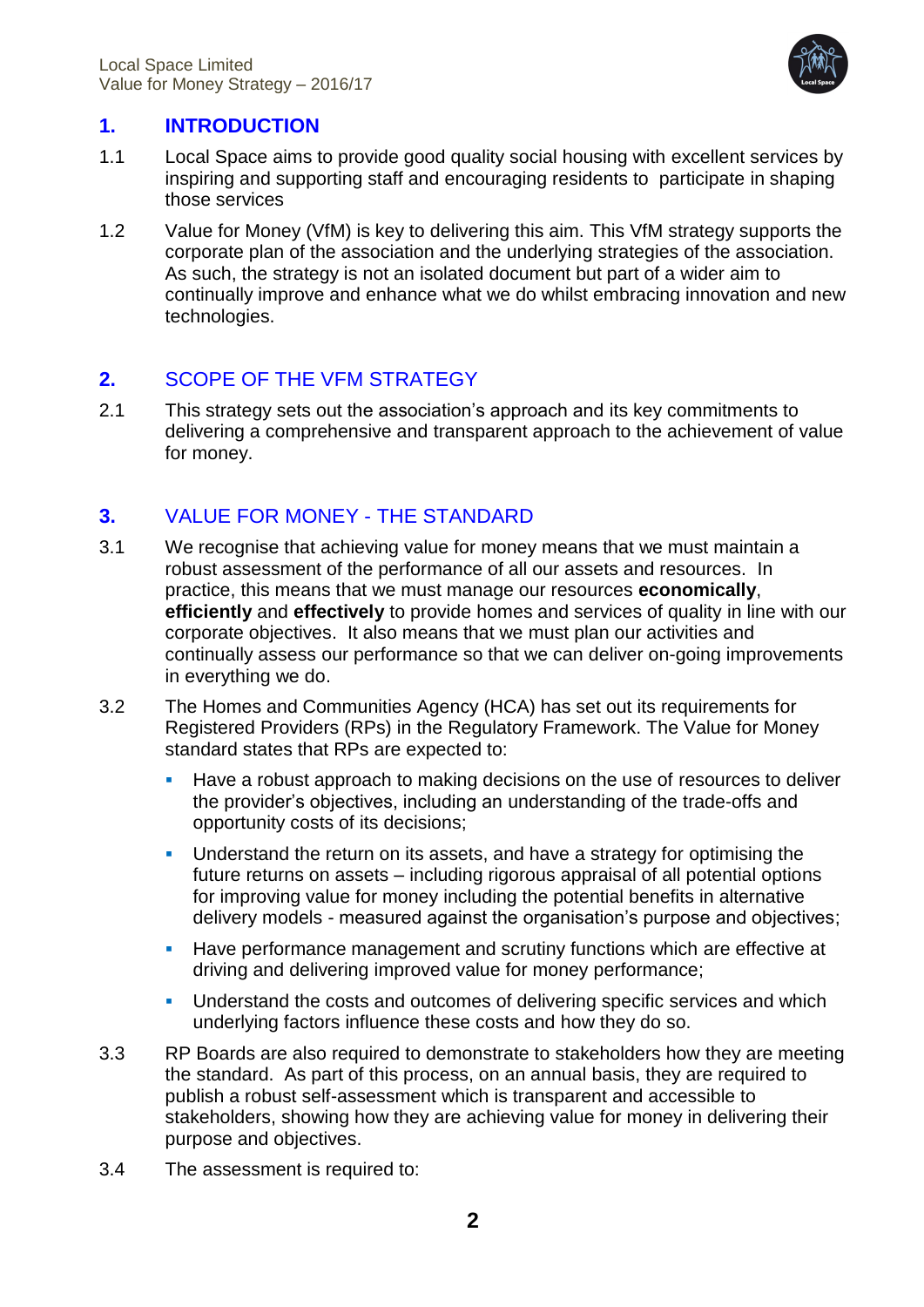

# **1. INTRODUCTION**

- 1.1 Local Space aims to provide good quality social housing with excellent services by inspiring and supporting staff and encouraging residents to participate in shaping those services
- 1.2 Value for Money (VfM) is key to delivering this aim. This VfM strategy supports the corporate plan of the association and the underlying strategies of the association. As such, the strategy is not an isolated document but part of a wider aim to continually improve and enhance what we do whilst embracing innovation and new technologies.

#### **2.** SCOPE OF THE VFM STRATEGY

2.1 This strategy sets out the association's approach and its key commitments to delivering a comprehensive and transparent approach to the achievement of value for money.

# **3.** VALUE FOR MONEY - THE STANDARD

- 3.1 We recognise that achieving value for money means that we must maintain a robust assessment of the performance of all our assets and resources. In practice, this means that we must manage our resources **economically**, **efficiently** and **effectively** to provide homes and services of quality in line with our corporate objectives. It also means that we must plan our activities and continually assess our performance so that we can deliver on-going improvements in everything we do.
- 3.2 The Homes and Communities Agency (HCA) has set out its requirements for Registered Providers (RPs) in the Regulatory Framework. The Value for Money standard states that RPs are expected to:
	- Have a robust approach to making decisions on the use of resources to deliver the provider's objectives, including an understanding of the trade-offs and opportunity costs of its decisions;
	- Understand the return on its assets, and have a strategy for optimising the future returns on assets – including rigorous appraisal of all potential options for improving value for money including the potential benefits in alternative delivery models - measured against the organisation's purpose and objectives;
	- **Have performance management and scrutiny functions which are effective at 4** driving and delivering improved value for money performance;
	- **Understand the costs and outcomes of delivering specific services and which** underlying factors influence these costs and how they do so.
- 3.3 RP Boards are also required to demonstrate to stakeholders how they are meeting the standard. As part of this process, on an annual basis, they are required to publish a robust self-assessment which is transparent and accessible to stakeholders, showing how they are achieving value for money in delivering their purpose and objectives.
- 3.4 The assessment is required to: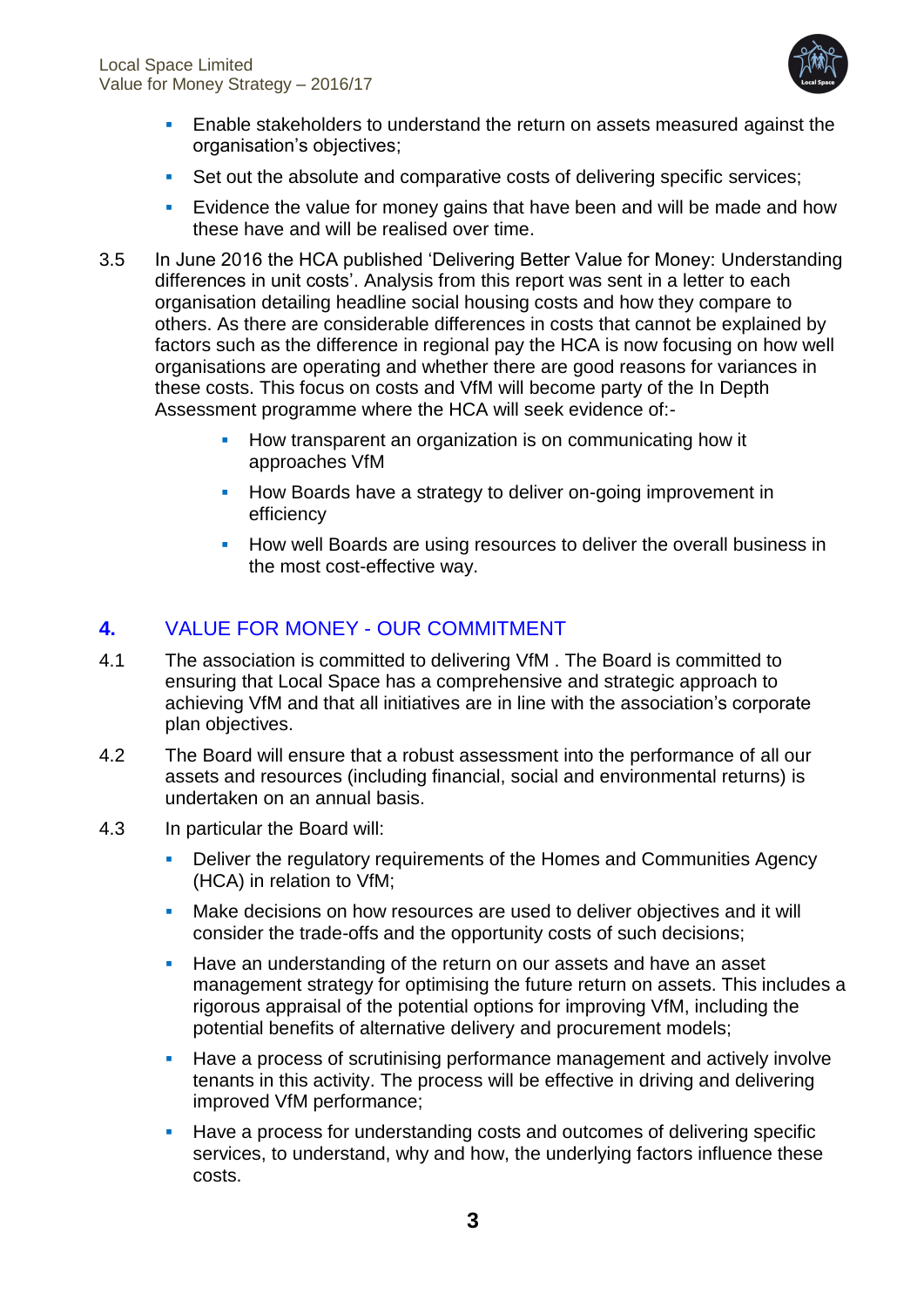

- **Enable stakeholders to understand the return on assets measured against the** organisation's objectives;
- Set out the absolute and comparative costs of delivering specific services;
- Evidence the value for money gains that have been and will be made and how these have and will be realised over time.
- 3.5 In June 2016 the HCA published 'Delivering Better Value for Money: Understanding differences in unit costs'. Analysis from this report was sent in a letter to each organisation detailing headline social housing costs and how they compare to others. As there are considerable differences in costs that cannot be explained by factors such as the difference in regional pay the HCA is now focusing on how well organisations are operating and whether there are good reasons for variances in these costs. This focus on costs and VfM will become party of the In Depth Assessment programme where the HCA will seek evidence of:-
	- How transparent an organization is on communicating how it approaches VfM
	- **How Boards have a strategy to deliver on-going improvement in** efficiency
	- **How well Boards are using resources to deliver the overall business in** the most cost-effective way.

# **4.** VALUE FOR MONEY - OUR COMMITMENT

- 4.1 The association is committed to delivering VfM . The Board is committed to ensuring that Local Space has a comprehensive and strategic approach to achieving VfM and that all initiatives are in line with the association's corporate plan objectives.
- 4.2 The Board will ensure that a robust assessment into the performance of all our assets and resources (including financial, social and environmental returns) is undertaken on an annual basis.
- 4.3 In particular the Board will:
	- Deliver the regulatory requirements of the Homes and Communities Agency (HCA) in relation to VfM;
	- Make decisions on how resources are used to deliver objectives and it will consider the trade-offs and the opportunity costs of such decisions;
	- **Have an understanding of the return on our assets and have an asset** management strategy for optimising the future return on assets. This includes a rigorous appraisal of the potential options for improving VfM, including the potential benefits of alternative delivery and procurement models;
	- Have a process of scrutinising performance management and actively involve tenants in this activity. The process will be effective in driving and delivering improved VfM performance;
	- Have a process for understanding costs and outcomes of delivering specific services, to understand, why and how, the underlying factors influence these costs.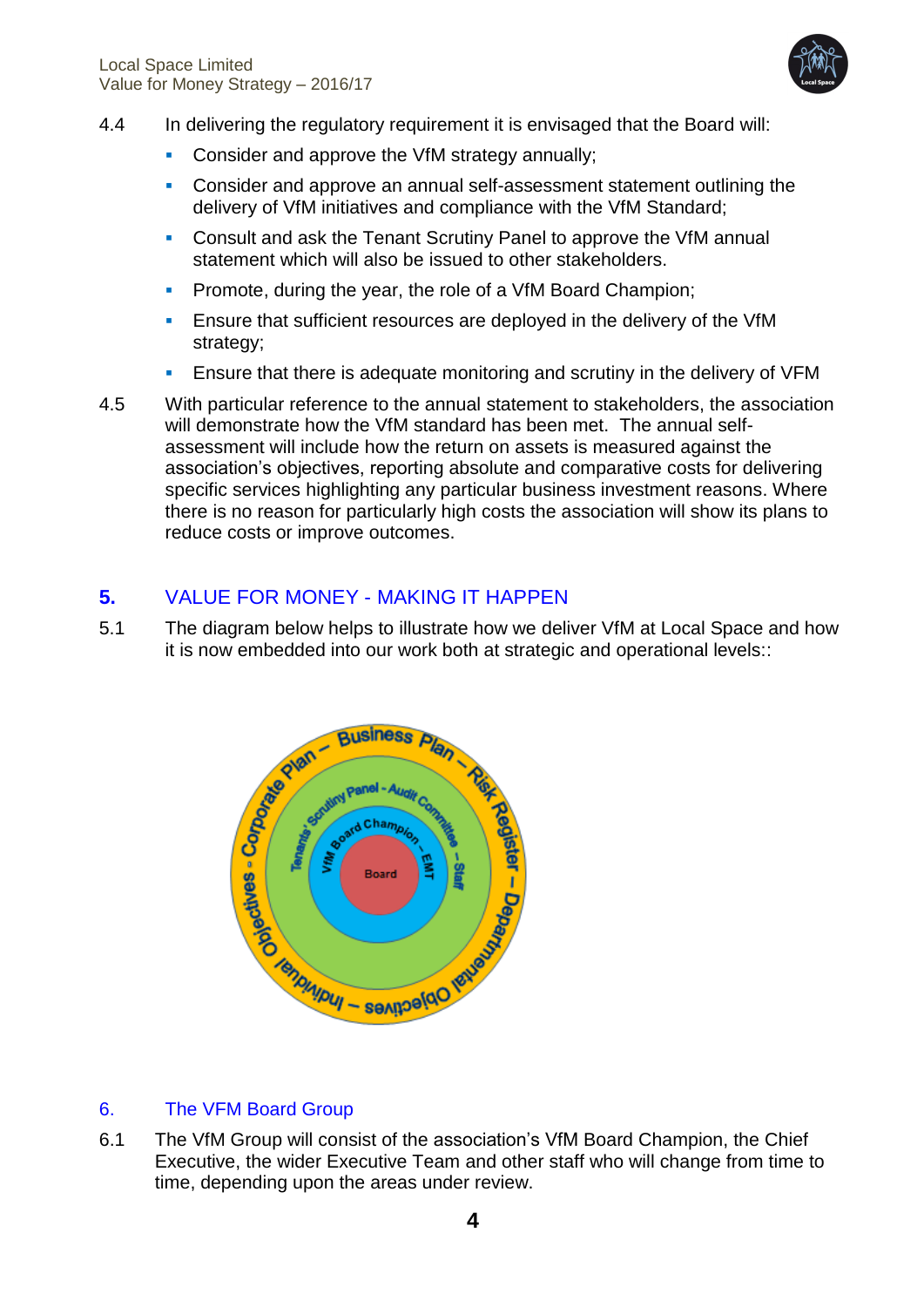

- 4.4 In delivering the regulatory requirement it is envisaged that the Board will:
	- **Consider and approve the VfM strategy annually;**
	- Consider and approve an annual self-assessment statement outlining the delivery of VfM initiatives and compliance with the VfM Standard;
	- Consult and ask the Tenant Scrutiny Panel to approve the VfM annual statement which will also be issued to other stakeholders.
	- **Promote, during the year, the role of a VfM Board Champion;**
	- Ensure that sufficient resources are deployed in the delivery of the VfM strategy;
	- Ensure that there is adequate monitoring and scrutiny in the delivery of VFM
- 4.5 With particular reference to the annual statement to stakeholders, the association will demonstrate how the VfM standard has been met. The annual selfassessment will include how the return on assets is measured against the association's objectives, reporting absolute and comparative costs for delivering specific services highlighting any particular business investment reasons. Where there is no reason for particularly high costs the association will show its plans to reduce costs or improve outcomes.

# **5.** VALUE FOR MONEY - MAKING IT HAPPEN

5.1 The diagram below helps to illustrate how we deliver VfM at Local Space and how it is now embedded into our work both at strategic and operational levels::



# 6. The VFM Board Group

6.1 The VfM Group will consist of the association's VfM Board Champion, the Chief Executive, the wider Executive Team and other staff who will change from time to time, depending upon the areas under review.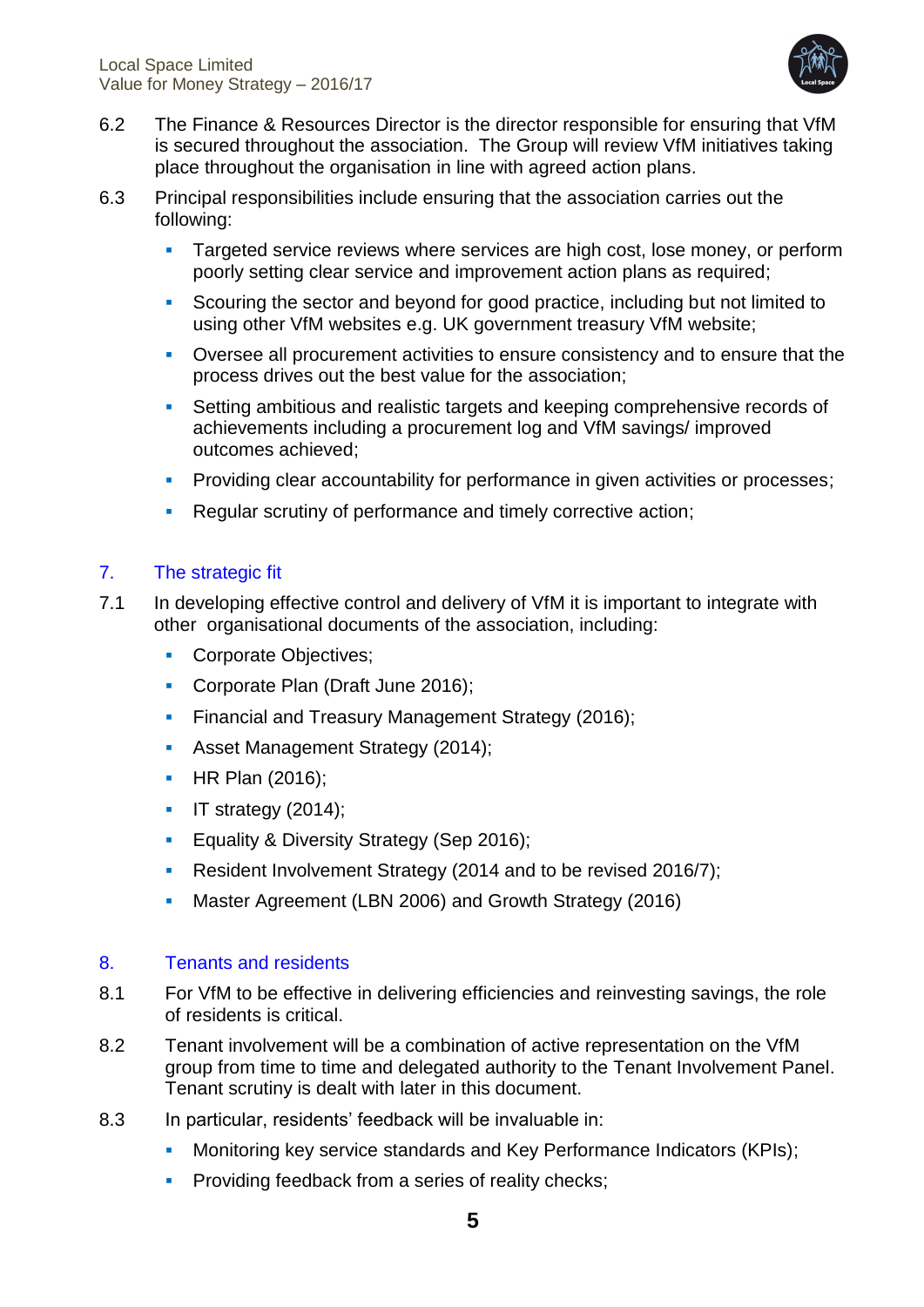

- 6.2 The Finance & Resources Director is the director responsible for ensuring that VfM is secured throughout the association. The Group will review VfM initiatives taking place throughout the organisation in line with agreed action plans.
- 6.3 Principal responsibilities include ensuring that the association carries out the following:
	- **Targeted service reviews where services are high cost, lose money, or perform** poorly setting clear service and improvement action plans as required;
	- Scouring the sector and beyond for good practice, including but not limited to using other VfM websites e.g. UK government treasury VfM website;
	- Oversee all procurement activities to ensure consistency and to ensure that the process drives out the best value for the association;
	- Setting ambitious and realistic targets and keeping comprehensive records of achievements including a procurement log and VfM savings/ improved outcomes achieved;
	- **Providing clear accountability for performance in given activities or processes;**
	- **Regular scrutiny of performance and timely corrective action;**

#### 7. The strategic fit

- 7.1 In developing effective control and delivery of VfM it is important to integrate with other organisational documents of the association, including:
	- Corporate Objectives;
	- Corporate Plan (Draft June 2016);
	- **Financial and Treasury Management Strategy (2016);**
	- **Asset Management Strategy (2014);**
	- **HR Plan (2016):**
	- $\blacksquare$  IT strategy (2014);
	- **Equality & Diversity Strategy (Sep 2016);**
	- Resident Involvement Strategy (2014 and to be revised 2016/7);
	- Master Agreement (LBN 2006) and Growth Strategy (2016)

#### 8. Tenants and residents

- 8.1 For VfM to be effective in delivering efficiencies and reinvesting savings, the role of residents is critical.
- 8.2 Tenant involvement will be a combination of active representation on the VfM group from time to time and delegated authority to the Tenant Involvement Panel. Tenant scrutiny is dealt with later in this document.
- 8.3 In particular, residents' feedback will be invaluable in:
	- Monitoring key service standards and Key Performance Indicators (KPIs);
	- **Providing feedback from a series of reality checks;**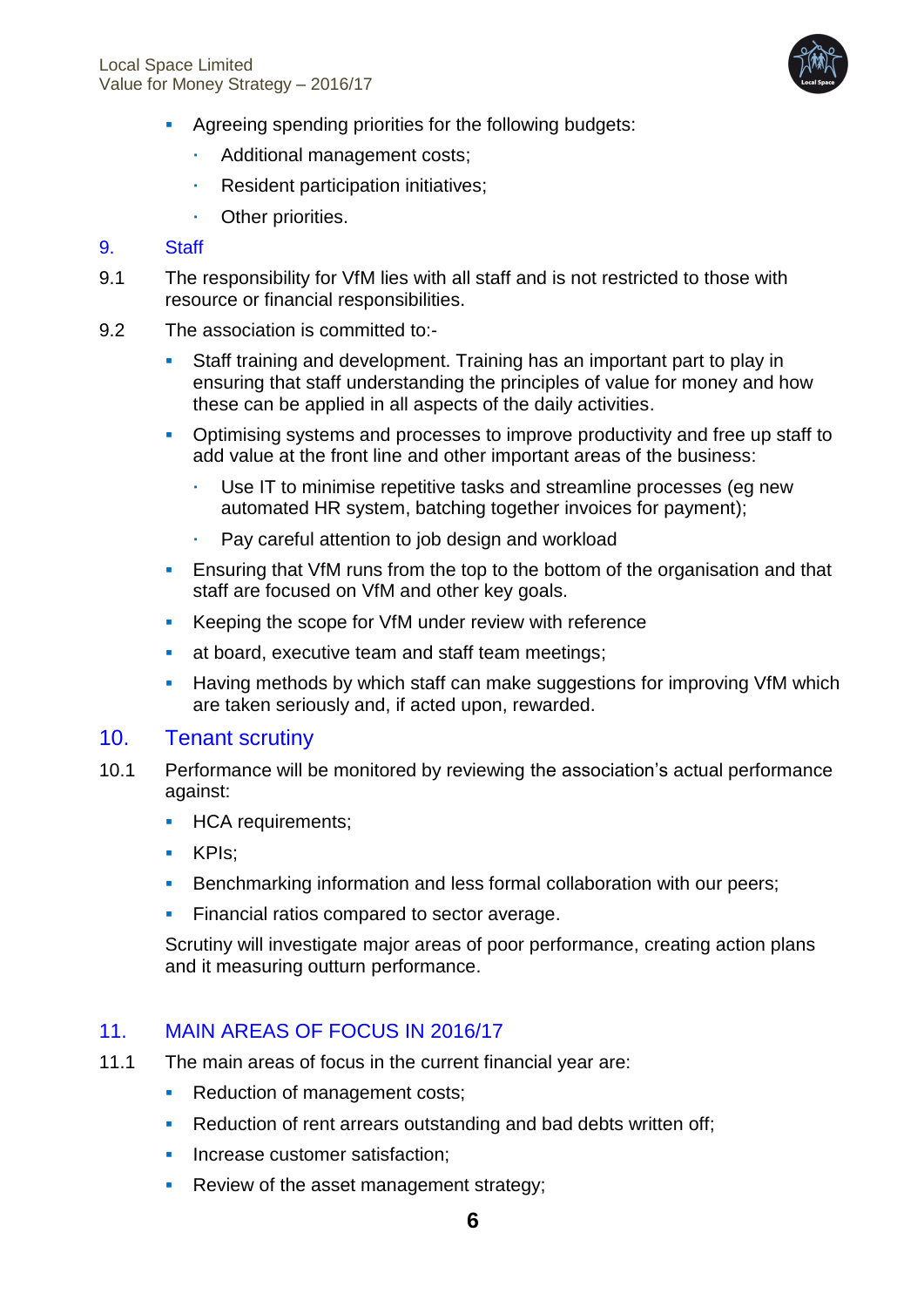

- Agreeing spending priorities for the following budgets:
	- Additional management costs;
	- **Resident participation initiatives;**
	- **Cther priorities.**

#### 9. Staff

- 9.1 The responsibility for VfM lies with all staff and is not restricted to those with resource or financial responsibilities.
- 9.2 The association is committed to:-
	- Staff training and development. Training has an important part to play in ensuring that staff understanding the principles of value for money and how these can be applied in all aspects of the daily activities.
	- Optimising systems and processes to improve productivity and free up staff to add value at the front line and other important areas of the business:
		- Use IT to minimise repetitive tasks and streamline processes (eg new automated HR system, batching together invoices for payment);
		- Pay careful attention to job design and workload
	- Ensuring that VfM runs from the top to the bottom of the organisation and that staff are focused on VfM and other key goals.
	- Keeping the scope for VfM under review with reference
	- at board, executive team and staff team meetings;
	- **Having methods by which staff can make suggestions for improving VfM which** are taken seriously and, if acted upon, rewarded.

#### 10. Tenant scrutiny

- 10.1 Performance will be monitored by reviewing the association's actual performance against:
	- **HCA requirements;**
	- **KPIs:**
	- Benchmarking information and less formal collaboration with our peers;
	- **Financial ratios compared to sector average.**

Scrutiny will investigate major areas of poor performance, creating action plans and it measuring outturn performance.

#### 11. MAIN AREAS OF FOCUS IN 2016/17

- 11.1 The main areas of focus in the current financial year are:
	- Reduction of management costs;
	- Reduction of rent arrears outstanding and bad debts written off;
	- **Increase customer satisfaction:**
	- **Review of the asset management strategy;**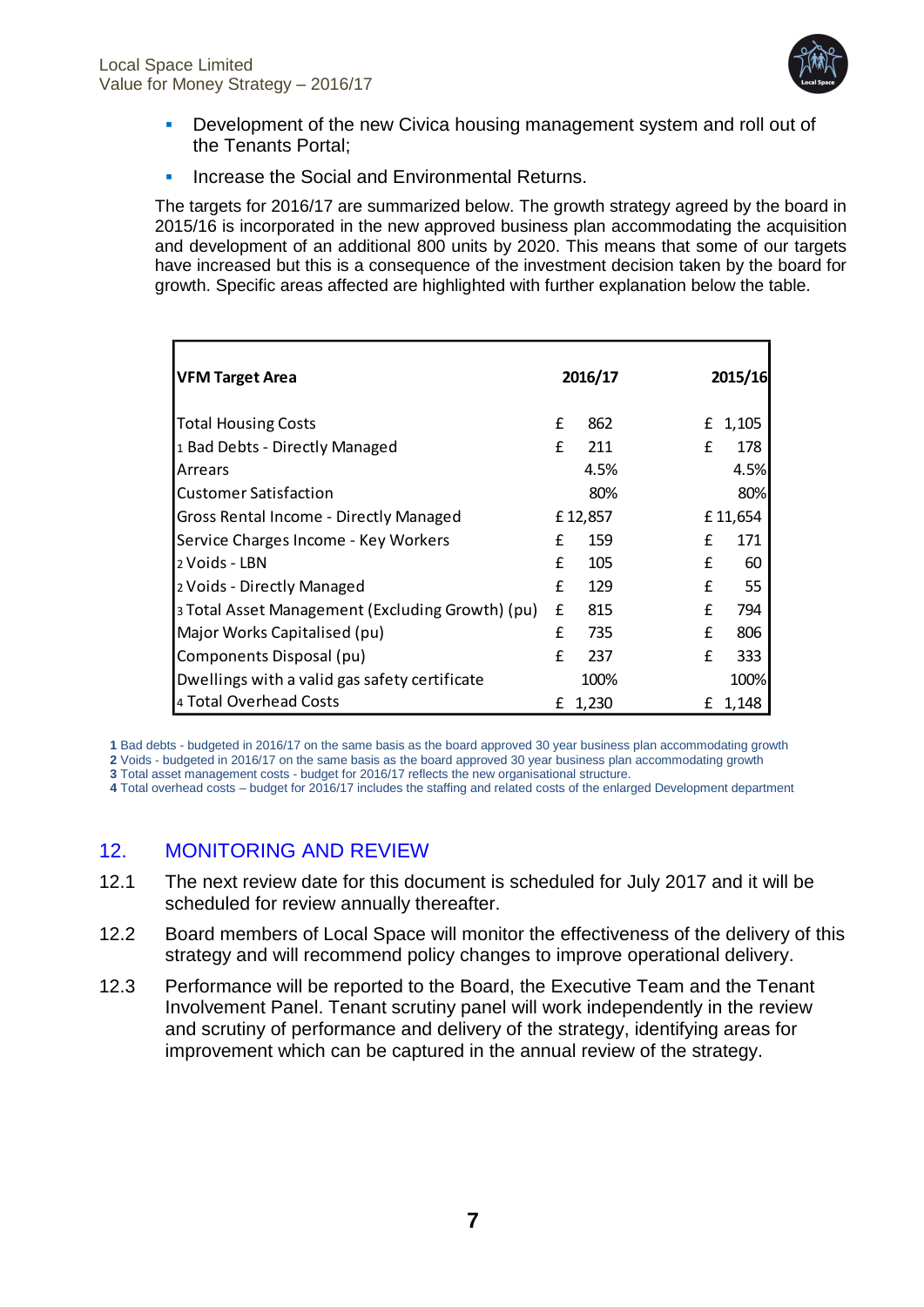

- **Development of the new Civica housing management system and roll out of** the Tenants Portal;
- **Increase the Social and Environmental Returns.**

The targets for 2016/17 are summarized below. The growth strategy agreed by the board in 2015/16 is incorporated in the new approved business plan accommodating the acquisition and development of an additional 800 units by 2020. This means that some of our targets have increased but this is a consequence of the investment decision taken by the board for growth. Specific areas affected are highlighted with further explanation below the table.

| <b>VFM Target Area</b>                           |   | 2016/17 |   | 2015/16 |
|--------------------------------------------------|---|---------|---|---------|
| <b>Total Housing Costs</b>                       | £ | 862     | £ | 1,105   |
| 1 Bad Debts - Directly Managed                   | f | 211     | f | 178     |
| Arrears                                          |   | 4.5%    |   | 4.5%    |
| Customer Satisfaction                            |   | 80%     |   | 80%     |
| Gross Rental Income - Directly Managed           |   | £12,857 |   | £11,654 |
| Service Charges Income - Key Workers             | f | 159     | £ | 171     |
| 2 Voids - LBN                                    | f | 105     | £ | 60      |
| 2 Voids - Directly Managed                       | f | 129     | £ | 55      |
| 3 Total Asset Management (Excluding Growth) (pu) | £ | 815     | £ | 794     |
| Major Works Capitalised (pu)                     | f | 735     | f | 806     |
| Components Disposal (pu)                         | f | 237     | f | 333     |
| Dwellings with a valid gas safety certificate    |   | 100%    |   | 100%    |
| 4 Total Overhead Costs                           | £ | 1,230   | £ | 1,148   |

**1** Bad debts - budgeted in 2016/17 on the same basis as the board approved 30 year business plan accommodating growth **2** Voids - budgeted in 2016/17 on the same basis as the board approved 30 year business plan accommodating growth

**3** Total asset management costs - budget for 2016/17 reflects the new organisational structure.

**4** Total overhead costs – budget for 2016/17 includes the staffing and related costs of the enlarged Development department

# 12. MONITORING AND REVIEW

- 12.1 The next review date for this document is scheduled for July 2017 and it will be scheduled for review annually thereafter.
- 12.2 Board members of Local Space will monitor the effectiveness of the delivery of this strategy and will recommend policy changes to improve operational delivery.
- 12.3 Performance will be reported to the Board, the Executive Team and the Tenant Involvement Panel. Tenant scrutiny panel will work independently in the review and scrutiny of performance and delivery of the strategy, identifying areas for improvement which can be captured in the annual review of the strategy.